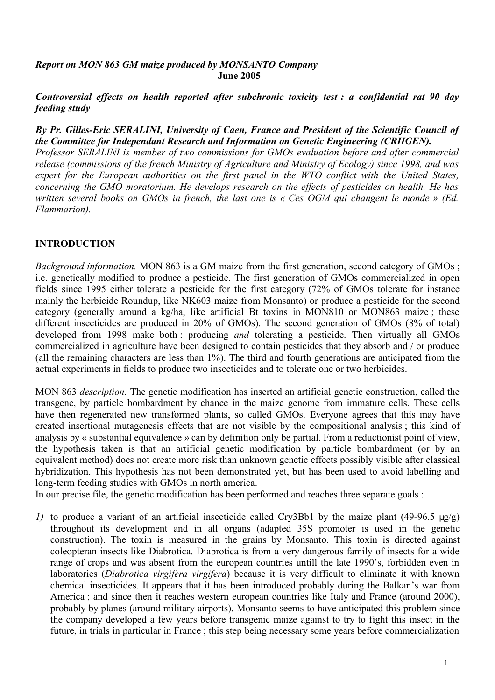#### *Report on MON 863 GM maize produced by MONSANTO Company* **June 2005**

*Controversial effects on health reported after subchronic toxicity test : a confidential rat 90 day feeding study*

### *By Pr. Gilles-Eric SERALINI, University of Caen, France and President of the Scientific Council of the Committee for Independant Research and Information on Genetic Engineering (CRIIGEN).*

*Professor SERALINI is member of two commissions for GMOs evaluation before and after commercial release (commissions of the french Ministry of Agriculture and Ministry of Ecology) since 1998, and was expert for the European authorities on the first panel in the WTO conflict with the United States, concerning the GMO moratorium. He develops research on the effects of pesticides on health. He has* written several books on GMOs in french, the last one is « Ces OGM qui changent le monde » (Ed. *Flammarion).*

# **INTRODUCTION**

*Background information.* MON 863 is a GM maize from the first generation, second category of GMOs ; i.e. genetically modified to produce a pesticide. The first generation of GMOs commercialized in open fields since 1995 either tolerate a pesticide for the first category (72% of GMOs tolerate for instance mainly the herbicide Roundup, like NK603 maize from Monsanto) or produce a pesticide for the second category (generally around a kg/ha, like artificial Bt toxins in MON810 or MON863 maize ; these different insecticides are produced in 20% of GMOs). The second generation of GMOs (8% of total) developed from 1998 make both : producing *and* tolerating a pesticide. Then virtually all GMOs commercialized in agriculture have been designed to contain pesticides that they absorb and / or produce (all the remaining characters are less than 1%). The third and fourth generations are anticipated from the actual experiments in fields to produce two insecticides and to tolerate one or two herbicides.

MON 863 *description.* The genetic modification has inserted an artificial genetic construction, called the transgene, by particle bombardment by chance in the maize genome from immature cells. These cells have then regenerated new transformed plants, so called GMOs. Everyone agrees that this may have created insertional mutagenesis effects that are not visible by the compositional analysis ; this kind of analysis by « substantial equivalence » can by definition only be partial. From a reductionist point of view, the hypothesis taken is that an artificial genetic modification by particle bombardment (or by an equivalent method) does not create more risk than unknown genetic effects possibly visible after classical hybridization. This hypothesis has not been demonstrated yet, but has been used to avoid labelling and long-term feeding studies with GMOs in north america.

In our precise file, the genetic modification has been performed and reaches three separate goals :

*1)* to produce a variant of an artificial insecticide called Cry3Bb1 by the maize plant (49-96.5 µg/g) throughout its development and in all organs (adapted 35S promoter is used in the genetic construction). The toxin is measured in the grains by Monsanto. This toxin is directed against coleopteran insects like Diabrotica. Diabrotica is from a very dangerous family of insects for a wide range of crops and was absent from the european countries untill the late 1990's, forbidden even in laboratories (*Diabrotica virgifera virgifera*) because it is very difficult to eliminate it with known chemical insecticides. It appears that it has been introduced probably during the Balkan's war from America ; and since then it reaches western european countries like Italy and France (around 2000), probably by planes (around military airports). Monsanto seems to have anticipated this problem since the company developed a few years before transgenic maize against to try to fight this insect in the future, in trials in particular in France ; this step being necessary some years before commercialization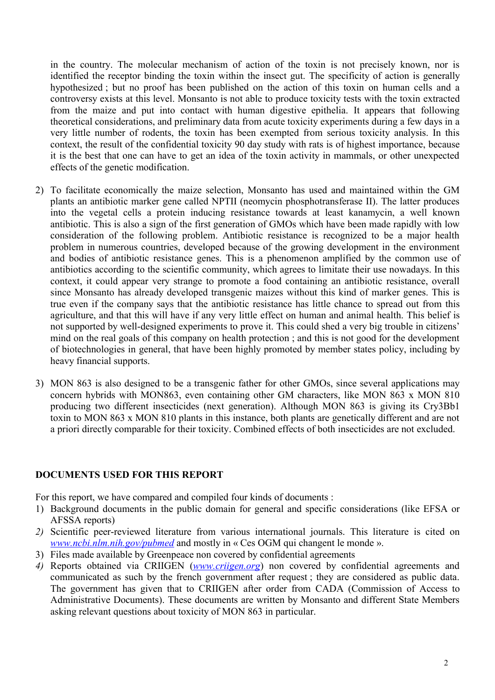in the country. The molecular mechanism of action of the toxin is not precisely known, nor is identified the receptor binding the toxin within the insect gut. The specificity of action is generally hypothesized ; but no proof has been published on the action of this toxin on human cells and a controversy exists at this level. Monsanto is not able to produce toxicity tests with the toxin extracted from the maize and put into contact with human digestive epithelia. It appears that following theoretical considerations, and preliminary data from acute toxicity experiments during a few days in a very little number of rodents, the toxin has been exempted from serious toxicity analysis. In this context, the result of the confidential toxicity 90 day study with rats is of highest importance, because it is the best that one can have to get an idea of the toxin activity in mammals, or other unexpected effects of the genetic modification.

- 2) To facilitate economically the maize selection, Monsanto has used and maintained within the GM plants an antibiotic marker gene called NPTII (neomycin phosphotransferase II). The latter produces into the vegetal cells a protein inducing resistance towards at least kanamycin, a well known antibiotic. This is also a sign of the first generation of GMOs which have been made rapidly with low consideration of the following problem. Antibiotic resistance is recognized to be a major health problem in numerous countries, developed because of the growing development in the environment and bodies of antibiotic resistance genes. This is a phenomenon amplified by the common use of antibiotics according to the scientific community, which agrees to limitate their use nowadays. In this context, it could appear very strange to promote a food containing an antibiotic resistance, overall since Monsanto has already developed transgenic maizes without this kind of marker genes. This is true even if the company says that the antibiotic resistance has little chance to spread out from this agriculture, and that this will have if any very little effect on human and animal health. This belief is not supported by well-designed experiments to prove it. This could shed a very big trouble in citizens' mind on the real goals of this company on health protection ; and this is not good for the development of biotechnologies in general, that have been highly promoted by member states policy, including by heavy financial supports.
- 3) MON 863 is also designed to be a transgenic father for other GMOs, since several applications may concern hybrids with MON863, even containing other GM characters, like MON 863 x MON 810 producing two different insecticides (next generation). Although MON 863 is giving its Cry3Bb1 toxin to MON 863 x MON 810 plants in this instance, both plants are genetically different and are not a priori directly comparable for their toxicity. Combined effects of both insecticides are not excluded.

#### **DOCUMENTS USED FOR THIS REPORT**

For this report, we have compared and compiled four kinds of documents :

- 1) Background documents in the public domain for general and specific considerations (like EFSA or AFSSA reports)
- *2)* Scientific peer-reviewed literature from various international journals. This literature is cited on *www.ncbi.nlm.nih.gov/pubmed* and mostly in « Ces OGM qui changent le monde ».
- 3) Files made available by Greenpeace non covered by confidential agreements
- *4)* Reports obtained via CRIIGEN (*www.criigen.org*) non covered by confidential agreements and communicated as such by the french government after request ; they are considered as public data. The government has given that to CRIIGEN after order from CADA (Commission of Access to Administrative Documents). These documents are written by Monsanto and different State Members asking relevant questions about toxicity of MON 863 in particular.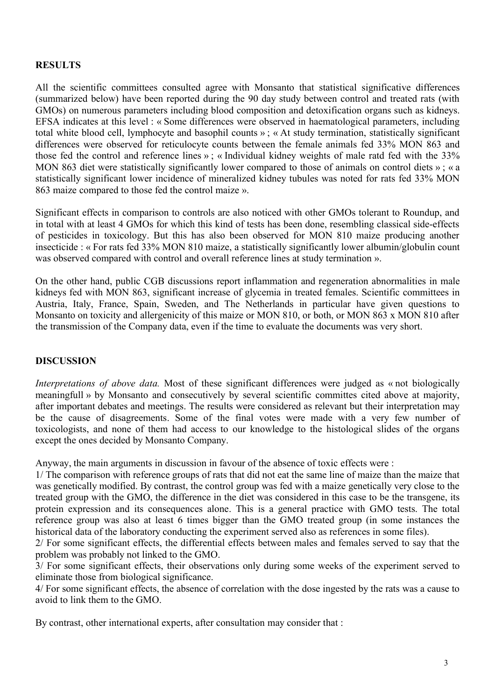## **RESULTS**

All the scientific committees consulted agree with Monsanto that statistical significative differences (summarized below) have been reported during the 90 day study between control and treated rats (with GMOs) on numerous parameters including blood composition and detoxification organs such as kidneys. EFSA indicates at this level : « Some differences were observed in haematological parameters, including total white blood cell, lymphocyte and basophil counts » ; « At study termination, statistically significant differences were observed for reticulocyte counts between the female animals fed 33% MON 863 and those fed the control and reference lines » ; « Individual kidney weights of male ratd fed with the 33% MON 863 diet were statistically significantly lower compared to those of animals on control diets »; « a statistically significant lower incidence of mineralized kidney tubules was noted for rats fed 33% MON 863 maize compared to those fed the control maize ».

Significant effects in comparison to controls are also noticed with other GMOs tolerant to Roundup, and in total with at least 4 GMOs for which this kind of tests has been done, resembling classical side-effects of pesticides in toxicology. But this has also been observed for MON 810 maize producing another insecticide : « For rats fed 33% MON 810 maize, a statistically significantly lower albumin/globulin count was observed compared with control and overall reference lines at study termination ».

On the other hand, public CGB discussions report inflammation and regeneration abnormalities in male kidneys fed with MON 863, significant increase of glycemia in treated females. Scientific committees in Austria, Italy, France, Spain, Sweden, and The Netherlands in particular have given questions to Monsanto on toxicity and allergenicity of this maize or MON 810, or both, or MON 863 x MON 810 after the transmission of the Company data, even if the time to evaluate the documents was very short.

## **DISCUSSION**

*Interpretations of above data.* Most of these significant differences were judged as « not biologically meaningfull » by Monsanto and consecutively by several scientific committes cited above at majority, after important debates and meetings. The results were considered as relevant but their interpretation may be the cause of disagreements. Some of the final votes were made with a very few number of toxicologists, and none of them had access to our knowledge to the histological slides of the organs except the ones decided by Monsanto Company.

Anyway, the main arguments in discussion in favour of the absence of toxic effects were :

1/ The comparison with reference groups of rats that did not eat the same line of maize than the maize that was genetically modified. By contrast, the control group was fed with a maize genetically very close to the treated group with the GMO, the difference in the diet was considered in this case to be the transgene, its protein expression and its consequences alone. This is a general practice with GMO tests. The total reference group was also at least 6 times bigger than the GMO treated group (in some instances the historical data of the laboratory conducting the experiment served also as references in some files).

2/ For some significant effects, the differential effects between males and females served to say that the problem was probably not linked to the GMO.

3/ For some significant effects, their observations only during some weeks of the experiment served to eliminate those from biological significance.

4/ For some significant effects, the absence of correlation with the dose ingested by the rats was a cause to avoid to link them to the GMO.

By contrast, other international experts, after consultation may consider that :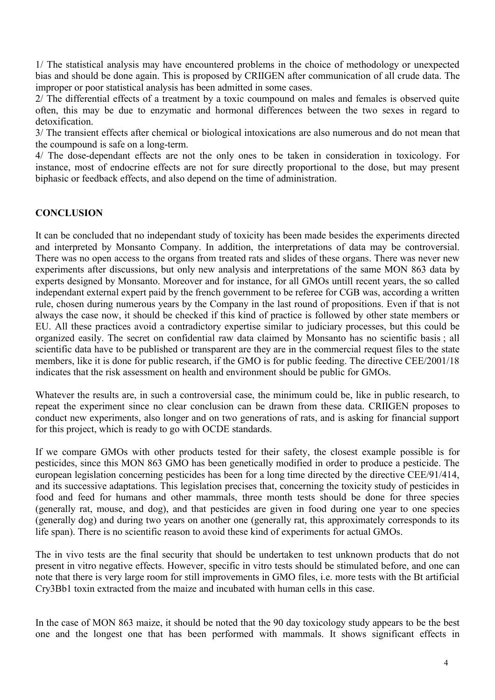1/ The statistical analysis may have encountered problems in the choice of methodology or unexpected bias and should be done again. This is proposed by CRIIGEN after communication of all crude data. The improper or poor statistical analysis has been admitted in some cases.

2/ The differential effects of a treatment by a toxic coumpound on males and females is observed quite often, this may be due to enzymatic and hormonal differences between the two sexes in regard to detoxification.

3/ The transient effects after chemical or biological intoxications are also numerous and do not mean that the coumpound is safe on a long-term.

4/ The dose-dependant effects are not the only ones to be taken in consideration in toxicology. For instance, most of endocrine effects are not for sure directly proportional to the dose, but may present biphasic or feedback effects, and also depend on the time of administration.

# **CONCLUSION**

It can be concluded that no independant study of toxicity has been made besides the experiments directed and interpreted by Monsanto Company. In addition, the interpretations of data may be controversial. There was no open access to the organs from treated rats and slides of these organs. There was never new experiments after discussions, but only new analysis and interpretations of the same MON 863 data by experts designed by Monsanto. Moreover and for instance, for all GMOs untill recent years, the so called independant external expert paid by the french government to be referee for CGB was, according a written rule, chosen during numerous years by the Company in the last round of propositions. Even if that is not always the case now, it should be checked if this kind of practice is followed by other state members or EU. All these practices avoid a contradictory expertise similar to judiciary processes, but this could be organized easily. The secret on confidential raw data claimed by Monsanto has no scientific basis ; all scientific data have to be published or transparent are they are in the commercial request files to the state members, like it is done for public research, if the GMO is for public feeding. The directive CEE/2001/18 indicates that the risk assessment on health and environment should be public for GMOs.

Whatever the results are, in such a controversial case, the minimum could be, like in public research, to repeat the experiment since no clear conclusion can be drawn from these data. CRIIGEN proposes to conduct new experiments, also longer and on two generations of rats, and is asking for financial support for this project, which is ready to go with OCDE standards.

If we compare GMOs with other products tested for their safety, the closest example possible is for pesticides, since this MON 863 GMO has been genetically modified in order to produce a pesticide. The european legislation concerning pesticides has been for a long time directed by the directive CEE/91/414, and its successive adaptations. This legislation precises that, concerning the toxicity study of pesticides in food and feed for humans and other mammals, three month tests should be done for three species (generally rat, mouse, and dog), and that pesticides are given in food during one year to one species (generally dog) and during two years on another one (generally rat, this approximately corresponds to its life span). There is no scientific reason to avoid these kind of experiments for actual GMOs.

The in vivo tests are the final security that should be undertaken to test unknown products that do not present in vitro negative effects. However, specific in vitro tests should be stimulated before, and one can note that there is very large room for still improvements in GMO files, i.e. more tests with the Bt artificial Cry3Bb1 toxin extracted from the maize and incubated with human cells in this case.

In the case of MON 863 maize, it should be noted that the 90 day toxicology study appears to be the best one and the longest one that has been performed with mammals. It shows significant effects in